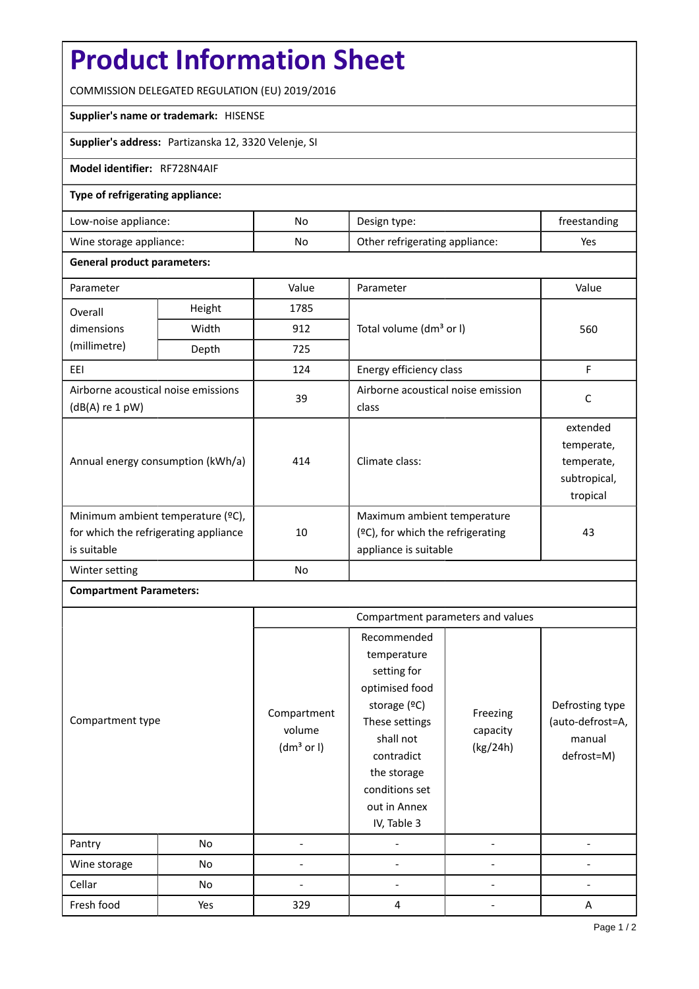# **Product Information Sheet**

COMMISSION DELEGATED REGULATION (EU) 2019/2016

#### **Supplier's name or trademark:** HISENSE

**Supplier's address:** Partizanska 12, 3320 Velenje, SI

## **Model identifier:** RF728N4AIF

## **Type of refrigerating appliance:**

| Low-noise appliance:    | No | Design type:                   | freestanding |
|-------------------------|----|--------------------------------|--------------|
| Wine storage appliance: | No | Other refrigerating appliance: | Yes          |

#### **General product parameters:**

| Parameter                                                                                 |        | Value | Parameter                                                                                    | Value                                                            |
|-------------------------------------------------------------------------------------------|--------|-------|----------------------------------------------------------------------------------------------|------------------------------------------------------------------|
| Overall                                                                                   | Height | 1785  |                                                                                              | 560                                                              |
| dimensions                                                                                | Width  | 912   | Total volume (dm <sup>3</sup> or I)                                                          |                                                                  |
| (millimetre)                                                                              | Depth  | 725   |                                                                                              |                                                                  |
| EEI                                                                                       |        | 124   | Energy efficiency class                                                                      | F                                                                |
| Airborne acoustical noise emissions<br>$(dB(A)$ re 1 pW)                                  |        | 39    | Airborne acoustical noise emission<br>class                                                  | C                                                                |
| Annual energy consumption (kWh/a)                                                         |        | 414   | Climate class:                                                                               | extended<br>temperate,<br>temperate,<br>subtropical,<br>tropical |
| Minimum ambient temperature (°C),<br>for which the refrigerating appliance<br>is suitable |        | 10    | Maximum ambient temperature<br>$(2C)$ , for which the refrigerating<br>appliance is suitable | 43                                                               |
| Winter setting                                                                            |        | No    |                                                                                              |                                                                  |

## **Compartment Parameters:**

|                  |     | Compartment parameters and values               |                                                                                                                                                                                          |                                  |                                                             |
|------------------|-----|-------------------------------------------------|------------------------------------------------------------------------------------------------------------------------------------------------------------------------------------------|----------------------------------|-------------------------------------------------------------|
| Compartment type |     | Compartment<br>volume<br>(dm <sup>3</sup> or I) | Recommended<br>temperature<br>setting for<br>optimised food<br>storage (ºC)<br>These settings<br>shall not<br>contradict<br>the storage<br>conditions set<br>out in Annex<br>IV, Table 3 | Freezing<br>capacity<br>(kg/24h) | Defrosting type<br>(auto-defrost=A,<br>manual<br>defrost=M) |
| Pantry           | No  |                                                 |                                                                                                                                                                                          |                                  |                                                             |
| Wine storage     | No  |                                                 |                                                                                                                                                                                          |                                  |                                                             |
| Cellar           | No  |                                                 |                                                                                                                                                                                          |                                  |                                                             |
| Fresh food       | Yes | 329                                             | 4                                                                                                                                                                                        |                                  | A                                                           |